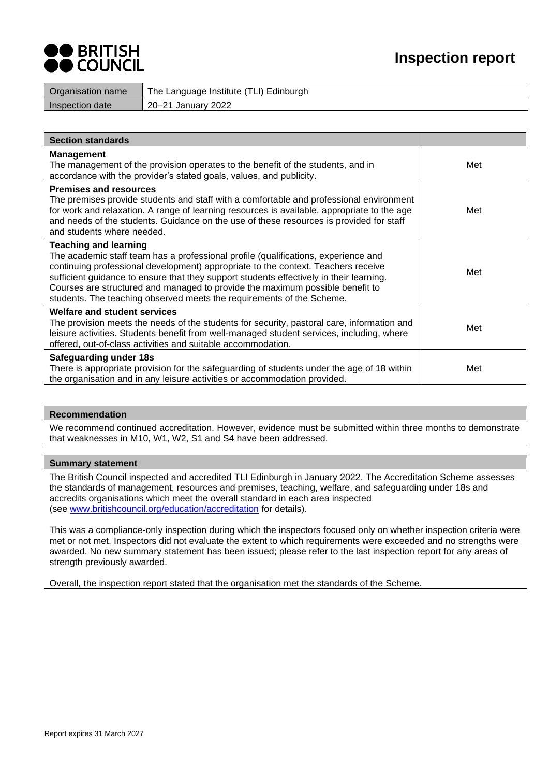

| Organisation name | The Language Institute (TLI) Edinburgh |
|-------------------|----------------------------------------|
| Inspection date   | 20–21 January 2022                     |
|                   |                                        |

| <b>Section standards</b>                                                                                                                                                                                                                                                                                                                                                                                                                                     |     |
|--------------------------------------------------------------------------------------------------------------------------------------------------------------------------------------------------------------------------------------------------------------------------------------------------------------------------------------------------------------------------------------------------------------------------------------------------------------|-----|
| <b>Management</b><br>The management of the provision operates to the benefit of the students, and in<br>accordance with the provider's stated goals, values, and publicity.                                                                                                                                                                                                                                                                                  | Met |
| <b>Premises and resources</b><br>The premises provide students and staff with a comfortable and professional environment<br>for work and relaxation. A range of learning resources is available, appropriate to the age<br>and needs of the students. Guidance on the use of these resources is provided for staff<br>and students where needed.                                                                                                             | Met |
| <b>Teaching and learning</b><br>The academic staff team has a professional profile (qualifications, experience and<br>continuing professional development) appropriate to the context. Teachers receive<br>sufficient guidance to ensure that they support students effectively in their learning.<br>Courses are structured and managed to provide the maximum possible benefit to<br>students. The teaching observed meets the requirements of the Scheme. | Met |
| <b>Welfare and student services</b><br>The provision meets the needs of the students for security, pastoral care, information and<br>leisure activities. Students benefit from well-managed student services, including, where<br>offered, out-of-class activities and suitable accommodation.                                                                                                                                                               | Met |
| <b>Safeguarding under 18s</b><br>There is appropriate provision for the safeguarding of students under the age of 18 within<br>the organisation and in any leisure activities or accommodation provided.                                                                                                                                                                                                                                                     | Met |

#### **Recommendation**

We recommend continued accreditation. However, evidence must be submitted within three months to demonstrate that weaknesses in M10, W1, W2, S1 and S4 have been addressed.

#### **Summary statement**

The British Council inspected and accredited TLI Edinburgh in January 2022. The Accreditation Scheme assesses the standards of management, resources and premises, teaching, welfare, and safeguarding under 18s and accredits organisations which meet the overall standard in each area inspected (see [www.britishcouncil.org/education/accreditation](https://emea01.safelinks.protection.outlook.com/?url=http%3A%2F%2Fwww.britishcouncil.org%2Feducation%2Faccreditation&data=04%7C01%7C%7C5fcd5c2b869b46699dde08d9a2cf1853%7C84df9e7fe9f640afb435aaaaaaaaaaaa%7C1%7C0%7C637719832614152870%7CUnknown%7CTWFpbGZsb3d8eyJWIjoiMC4wLjAwMDAiLCJQIjoiV2luMzIiLCJBTiI6Ik1haWwiLCJXVCI6Mn0%3D%7C1000&sdata=wNRtURVc6Db6y89cIL3mi6HCkFRgmbwWr3QhacgP4yo%3D&reserved=0) for details).

This was a compliance-only inspection during which the inspectors focused only on whether inspection criteria were met or not met. Inspectors did not evaluate the extent to which requirements were exceeded and no strengths were awarded. No new summary statement has been issued; please refer to the last inspection report for any areas of strength previously awarded.

Overall*,* the inspection report stated that the organisation met the standards of the Scheme.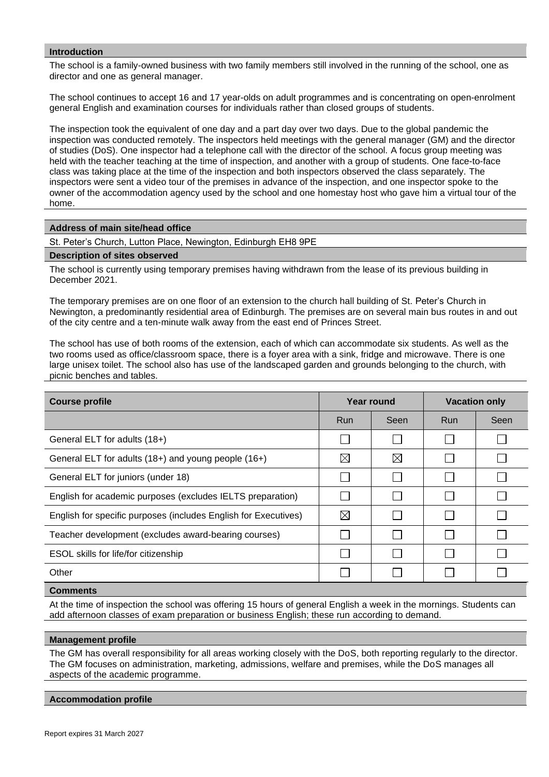### **Introduction**

The school is a family-owned business with two family members still involved in the running of the school, one as director and one as general manager.

The school continues to accept 16 and 17 year-olds on adult programmes and is concentrating on open-enrolment general English and examination courses for individuals rather than closed groups of students.

The inspection took the equivalent of one day and a part day over two days. Due to the global pandemic the inspection was conducted remotely. The inspectors held meetings with the general manager (GM) and the director of studies (DoS). One inspector had a telephone call with the director of the school. A focus group meeting was held with the teacher teaching at the time of inspection, and another with a group of students. One face-to-face class was taking place at the time of the inspection and both inspectors observed the class separately. The inspectors were sent a video tour of the premises in advance of the inspection, and one inspector spoke to the owner of the accommodation agency used by the school and one homestay host who gave him a virtual tour of the home.

## **Address of main site/head office**

St. Peter's Church, Lutton Place, Newington, Edinburgh EH8 9PE

#### **Description of sites observed**

The school is currently using temporary premises having withdrawn from the lease of its previous building in December 2021.

The temporary premises are on one floor of an extension to the church hall building of St. Peter's Church in Newington, a predominantly residential area of Edinburgh. The premises are on several main bus routes in and out of the city centre and a ten-minute walk away from the east end of Princes Street.

The school has use of both rooms of the extension, each of which can accommodate six students. As well as the two rooms used as office/classroom space, there is a foyer area with a sink, fridge and microwave. There is one large unisex toilet. The school also has use of the landscaped garden and grounds belonging to the church, with picnic benches and tables.

| <b>Course profile</b>                                           | Year round  |          | <b>Vacation only</b> |      |
|-----------------------------------------------------------------|-------------|----------|----------------------|------|
|                                                                 | <b>Run</b>  | Seen     | <b>Run</b>           | Seen |
| General ELT for adults (18+)                                    |             |          |                      |      |
| General ELT for adults (18+) and young people (16+)             | $\boxtimes$ | $\times$ |                      |      |
| General ELT for juniors (under 18)                              |             |          |                      |      |
| English for academic purposes (excludes IELTS preparation)      |             |          |                      |      |
| English for specific purposes (includes English for Executives) | $\boxtimes$ |          |                      |      |
| Teacher development (excludes award-bearing courses)            |             |          |                      |      |
| ESOL skills for life/for citizenship                            |             |          |                      |      |
| Other                                                           |             |          |                      |      |
|                                                                 |             |          |                      |      |

# **Comments**

At the time of inspection the school was offering 15 hours of general English a week in the mornings. Students can add afternoon classes of exam preparation or business English; these run according to demand.

## **Management profile**

The GM has overall responsibility for all areas working closely with the DoS, both reporting regularly to the director. The GM focuses on administration, marketing, admissions, welfare and premises, while the DoS manages all aspects of the academic programme.

#### **Accommodation profile**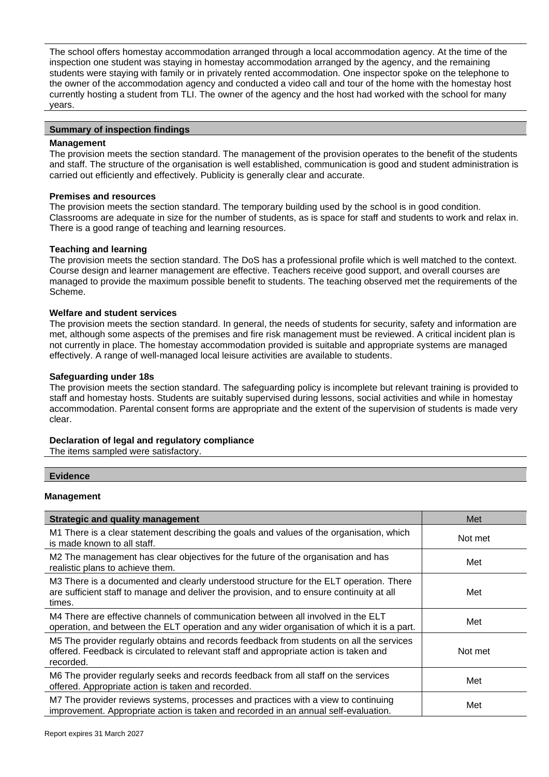The school offers homestay accommodation arranged through a local accommodation agency. At the time of the inspection one student was staying in homestay accommodation arranged by the agency, and the remaining students were staying with family or in privately rented accommodation. One inspector spoke on the telephone to the owner of the accommodation agency and conducted a video call and tour of the home with the homestay host currently hosting a student from TLI. The owner of the agency and the host had worked with the school for many years.

# **Summary of inspection findings**

# **Management**

The provision meets the section standard. The management of the provision operates to the benefit of the students and staff. The structure of the organisation is well established, communication is good and student administration is carried out efficiently and effectively. Publicity is generally clear and accurate.

# **Premises and resources**

The provision meets the section standard. The temporary building used by the school is in good condition. Classrooms are adequate in size for the number of students, as is space for staff and students to work and relax in. There is a good range of teaching and learning resources.

# **Teaching and learning**

The provision meets the section standard. The DoS has a professional profile which is well matched to the context. Course design and learner management are effective. Teachers receive good support, and overall courses are managed to provide the maximum possible benefit to students. The teaching observed met the requirements of the Scheme.

# **Welfare and student services**

The provision meets the section standard. In general, the needs of students for security, safety and information are met, although some aspects of the premises and fire risk management must be reviewed. A critical incident plan is not currently in place. The homestay accommodation provided is suitable and appropriate systems are managed effectively. A range of well-managed local leisure activities are available to students.

# **Safeguarding under 18s**

The provision meets the section standard. The safeguarding policy is incomplete but relevant training is provided to staff and homestay hosts. Students are suitably supervised during lessons, social activities and while in homestay accommodation. Parental consent forms are appropriate and the extent of the supervision of students is made very clear.

## **Declaration of legal and regulatory compliance**

The items sampled were satisfactory.

# **Evidence**

# **Management**

| <b>Strategic and quality management</b>                                                                                                                                                        | Met     |
|------------------------------------------------------------------------------------------------------------------------------------------------------------------------------------------------|---------|
| M1 There is a clear statement describing the goals and values of the organisation, which<br>is made known to all staff.                                                                        | Not met |
| M2 The management has clear objectives for the future of the organisation and has<br>realistic plans to achieve them.                                                                          | Met     |
| M3 There is a documented and clearly understood structure for the ELT operation. There<br>are sufficient staff to manage and deliver the provision, and to ensure continuity at all<br>times.  | Met     |
| M4 There are effective channels of communication between all involved in the ELT<br>operation, and between the ELT operation and any wider organisation of which it is a part.                 | Met     |
| M5 The provider regularly obtains and records feedback from students on all the services<br>offered. Feedback is circulated to relevant staff and appropriate action is taken and<br>recorded. | Not met |
| M6 The provider regularly seeks and records feedback from all staff on the services<br>offered. Appropriate action is taken and recorded.                                                      | Met     |
| M7 The provider reviews systems, processes and practices with a view to continuing<br>improvement. Appropriate action is taken and recorded in an annual self-evaluation.                      | Met     |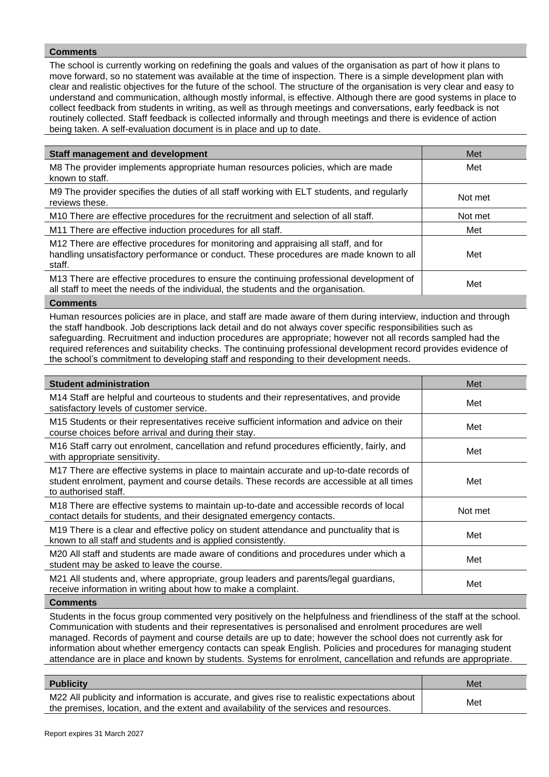# **Comments**

The school is currently working on redefining the goals and values of the organisation as part of how it plans to move forward, so no statement was available at the time of inspection. There is a simple development plan with clear and realistic objectives for the future of the school. The structure of the organisation is very clear and easy to understand and communication, although mostly informal, is effective. Although there are good systems in place to collect feedback from students in writing, as well as through meetings and conversations, early feedback is not routinely collected. Staff feedback is collected informally and through meetings and there is evidence of action being taken. A self-evaluation document is in place and up to date.

| <b>Staff management and development</b>                                                                                                                                                 | Met     |
|-----------------------------------------------------------------------------------------------------------------------------------------------------------------------------------------|---------|
| M8 The provider implements appropriate human resources policies, which are made<br>known to staff.                                                                                      | Met     |
| M9 The provider specifies the duties of all staff working with ELT students, and regularly<br>reviews these.                                                                            | Not met |
| M10 There are effective procedures for the recruitment and selection of all staff.                                                                                                      | Not met |
| M11 There are effective induction procedures for all staff.                                                                                                                             | Met     |
| M12 There are effective procedures for monitoring and appraising all staff, and for<br>handling unsatisfactory performance or conduct. These procedures are made known to all<br>staff. | Met     |
| M13 There are effective procedures to ensure the continuing professional development of<br>all staff to meet the needs of the individual, the students and the organisation.            | Met     |
| <b>A .</b> .                                                                                                                                                                            |         |

#### **Comments**

Human resources policies are in place, and staff are made aware of them during interview, induction and through the staff handbook. Job descriptions lack detail and do not always cover specific responsibilities such as safeguarding. Recruitment and induction procedures are appropriate; however not all records sampled had the required references and suitability checks. The continuing professional development record provides evidence of the school's commitment to developing staff and responding to their development needs.

| M14 Staff are helpful and courteous to students and their representatives, and provide<br>Met<br>satisfactory levels of customer service.<br>M15 Students or their representatives receive sufficient information and advice on their<br>Met<br>course choices before arrival and during their stay.<br>M16 Staff carry out enrolment, cancellation and refund procedures efficiently, fairly, and<br>Met<br>with appropriate sensitivity.<br>M17 There are effective systems in place to maintain accurate and up-to-date records of<br>student enrolment, payment and course details. These records are accessible at all times<br>Met<br>to authorised staff.<br>M18 There are effective systems to maintain up-to-date and accessible records of local<br>Not met<br>contact details for students, and their designated emergency contacts.<br>M19 There is a clear and effective policy on student attendance and punctuality that is<br>Met |
|---------------------------------------------------------------------------------------------------------------------------------------------------------------------------------------------------------------------------------------------------------------------------------------------------------------------------------------------------------------------------------------------------------------------------------------------------------------------------------------------------------------------------------------------------------------------------------------------------------------------------------------------------------------------------------------------------------------------------------------------------------------------------------------------------------------------------------------------------------------------------------------------------------------------------------------------------|
|                                                                                                                                                                                                                                                                                                                                                                                                                                                                                                                                                                                                                                                                                                                                                                                                                                                                                                                                                   |
|                                                                                                                                                                                                                                                                                                                                                                                                                                                                                                                                                                                                                                                                                                                                                                                                                                                                                                                                                   |
|                                                                                                                                                                                                                                                                                                                                                                                                                                                                                                                                                                                                                                                                                                                                                                                                                                                                                                                                                   |
|                                                                                                                                                                                                                                                                                                                                                                                                                                                                                                                                                                                                                                                                                                                                                                                                                                                                                                                                                   |
|                                                                                                                                                                                                                                                                                                                                                                                                                                                                                                                                                                                                                                                                                                                                                                                                                                                                                                                                                   |
| known to all staff and students and is applied consistently.                                                                                                                                                                                                                                                                                                                                                                                                                                                                                                                                                                                                                                                                                                                                                                                                                                                                                      |
| M20 All staff and students are made aware of conditions and procedures under which a<br>Met<br>student may be asked to leave the course.                                                                                                                                                                                                                                                                                                                                                                                                                                                                                                                                                                                                                                                                                                                                                                                                          |
| M21 All students and, where appropriate, group leaders and parents/legal guardians,<br>Met<br>receive information in writing about how to make a complaint.                                                                                                                                                                                                                                                                                                                                                                                                                                                                                                                                                                                                                                                                                                                                                                                       |

#### **Comments**

Students in the focus group commented very positively on the helpfulness and friendliness of the staff at the school. Communication with students and their representatives is personalised and enrolment procedures are well managed. Records of payment and course details are up to date; however the school does not currently ask for information about whether emergency contacts can speak English. Policies and procedures for managing student attendance are in place and known by students. Systems for enrolment, cancellation and refunds are appropriate.

| <b>Publicity</b>                                                                                                                                                                        | Met |
|-----------------------------------------------------------------------------------------------------------------------------------------------------------------------------------------|-----|
| M22 All publicity and information is accurate, and gives rise to realistic expectations about<br>the premises, location, and the extent and availability of the services and resources. | Met |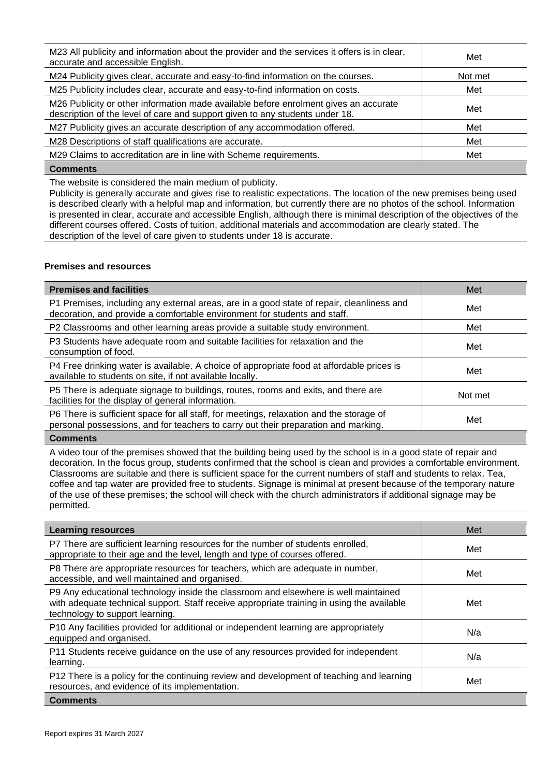| M23 All publicity and information about the provider and the services it offers is in clear,<br>accurate and accessible English.                                     | Met     |
|----------------------------------------------------------------------------------------------------------------------------------------------------------------------|---------|
| M24 Publicity gives clear, accurate and easy-to-find information on the courses.                                                                                     | Not met |
| M25 Publicity includes clear, accurate and easy-to-find information on costs.                                                                                        | Met     |
| M26 Publicity or other information made available before enrolment gives an accurate<br>description of the level of care and support given to any students under 18. | Met     |
| M27 Publicity gives an accurate description of any accommodation offered.                                                                                            | Met     |
| M28 Descriptions of staff qualifications are accurate.                                                                                                               | Met     |
| M29 Claims to accreditation are in line with Scheme requirements.                                                                                                    | Met     |
| $\bigcap$ $\bigcap$ $\bigcap$ $\bigcap$ $\bigcap$ $\bigcap$ $\bigcap$ $\bigcap$ $\bigcap$ $\bigcap$ $\bigcap$ $\bigcap$ $\bigcap$ $\bigcap$                          |         |

**Comments**

The website is considered the main medium of publicity.

Publicity is generally accurate and gives rise to realistic expectations. The location of the new premises being used is described clearly with a helpful map and information, but currently there are no photos of the school. Information is presented in clear, accurate and accessible English, although there is minimal description of the objectives of the different courses offered. Costs of tuition, additional materials and accommodation are clearly stated. The description of the level of care given to students under 18 is accurate.

# **Premises and resources**

| <b>Premises and facilities</b>                                                                                                                                                | Met     |
|-------------------------------------------------------------------------------------------------------------------------------------------------------------------------------|---------|
| P1 Premises, including any external areas, are in a good state of repair, cleanliness and<br>decoration, and provide a comfortable environment for students and staff.        | Met     |
| P2 Classrooms and other learning areas provide a suitable study environment.                                                                                                  | Met     |
| P3 Students have adequate room and suitable facilities for relaxation and the<br>consumption of food.                                                                         | Met     |
| P4 Free drinking water is available. A choice of appropriate food at affordable prices is<br>available to students on site, if not available locally.                         | Met     |
| P5 There is adequate signage to buildings, routes, rooms and exits, and there are<br>facilities for the display of general information.                                       | Not met |
| P6 There is sufficient space for all staff, for meetings, relaxation and the storage of<br>personal possessions, and for teachers to carry out their preparation and marking. | Met     |
|                                                                                                                                                                               |         |

#### **Comments**

A video tour of the premises showed that the building being used by the school is in a good state of repair and decoration. In the focus group, students confirmed that the school is clean and provides a comfortable environment. Classrooms are suitable and there is sufficient space for the current numbers of staff and students to relax. Tea, coffee and tap water are provided free to students. Signage is minimal at present because of the temporary nature of the use of these premises; the school will check with the church administrators if additional signage may be permitted.

| <b>Learning resources</b>                                                                                                                                                                                            | Met |
|----------------------------------------------------------------------------------------------------------------------------------------------------------------------------------------------------------------------|-----|
| P7 There are sufficient learning resources for the number of students enrolled,<br>appropriate to their age and the level, length and type of courses offered.                                                       | Met |
| P8 There are appropriate resources for teachers, which are adequate in number,<br>accessible, and well maintained and organised.                                                                                     | Met |
| P9 Any educational technology inside the classroom and elsewhere is well maintained<br>with adequate technical support. Staff receive appropriate training in using the available<br>technology to support learning. | Met |
| P10 Any facilities provided for additional or independent learning are appropriately<br>equipped and organised.                                                                                                      | N/a |
| P11 Students receive guidance on the use of any resources provided for independent<br>learning.                                                                                                                      | N/a |
| P12 There is a policy for the continuing review and development of teaching and learning<br>resources, and evidence of its implementation.                                                                           | Met |
| <b>Comments</b>                                                                                                                                                                                                      |     |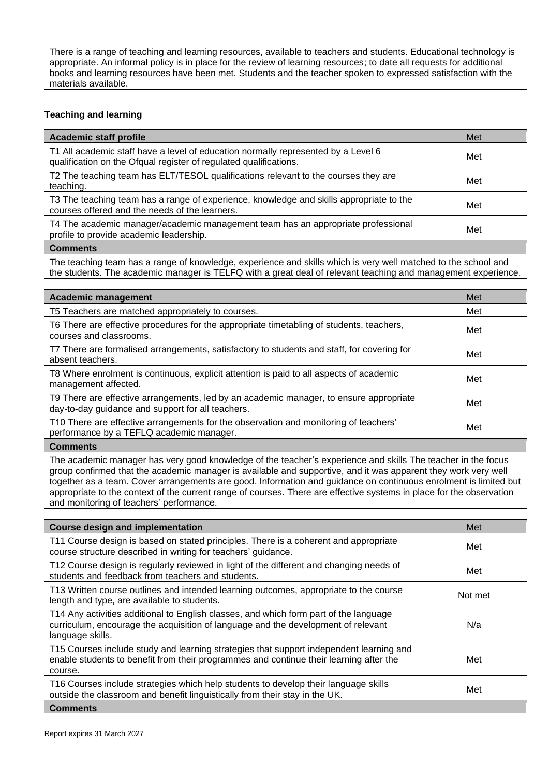There is a range of teaching and learning resources, available to teachers and students. Educational technology is appropriate. An informal policy is in place for the review of learning resources; to date all requests for additional books and learning resources have been met. Students and the teacher spoken to expressed satisfaction with the materials available.

# **Teaching and learning**

| <b>Academic staff profile</b>                                                                                                                          | Met |
|--------------------------------------------------------------------------------------------------------------------------------------------------------|-----|
| T1 All academic staff have a level of education normally represented by a Level 6<br>qualification on the Ofqual register of regulated qualifications. | Met |
| T2 The teaching team has ELT/TESOL qualifications relevant to the courses they are<br>teaching.                                                        | Met |
| T3 The teaching team has a range of experience, knowledge and skills appropriate to the<br>courses offered and the needs of the learners.              | Met |
| T4 The academic manager/academic management team has an appropriate professional<br>profile to provide academic leadership.                            | Met |
| Commonts                                                                                                                                               |     |

#### **Comments**

The teaching team has a range of knowledge, experience and skills which is very well matched to the school and the students. The academic manager is TELFQ with a great deal of relevant teaching and management experience.

| <b>Academic management</b>                                                                                                                  | Met |
|---------------------------------------------------------------------------------------------------------------------------------------------|-----|
| T5 Teachers are matched appropriately to courses.                                                                                           | Met |
| T6 There are effective procedures for the appropriate timetabling of students, teachers,<br>courses and classrooms.                         | Met |
| T7 There are formalised arrangements, satisfactory to students and staff, for covering for<br>absent teachers.                              | Met |
| T8 Where enrolment is continuous, explicit attention is paid to all aspects of academic<br>management affected.                             | Met |
| T9 There are effective arrangements, led by an academic manager, to ensure appropriate<br>day-to-day guidance and support for all teachers. | Met |
| T10 There are effective arrangements for the observation and monitoring of teachers'<br>performance by a TEFLQ academic manager.            | Met |
| $P = 1$                                                                                                                                     |     |

#### **Comments**

The academic manager has very good knowledge of the teacher's experience and skills The teacher in the focus group confirmed that the academic manager is available and supportive, and it was apparent they work very well together as a team. Cover arrangements are good. Information and guidance on continuous enrolment is limited but appropriate to the context of the current range of courses. There are effective systems in place for the observation and monitoring of teachers' performance.

| <b>Course design and implementation</b>                                                                                                                                                        | Met     |
|------------------------------------------------------------------------------------------------------------------------------------------------------------------------------------------------|---------|
| T11 Course design is based on stated principles. There is a coherent and appropriate<br>course structure described in writing for teachers' guidance.                                          | Met     |
| T12 Course design is regularly reviewed in light of the different and changing needs of<br>students and feedback from teachers and students.                                                   | Met     |
| T13 Written course outlines and intended learning outcomes, appropriate to the course<br>length and type, are available to students.                                                           | Not met |
| T14 Any activities additional to English classes, and which form part of the language<br>curriculum, encourage the acquisition of language and the development of relevant<br>language skills. | N/a     |
| T15 Courses include study and learning strategies that support independent learning and<br>enable students to benefit from their programmes and continue their learning after the<br>course.   | Met     |
| T16 Courses include strategies which help students to develop their language skills<br>outside the classroom and benefit linguistically from their stay in the UK.                             | Met     |
| <b>Comments</b>                                                                                                                                                                                |         |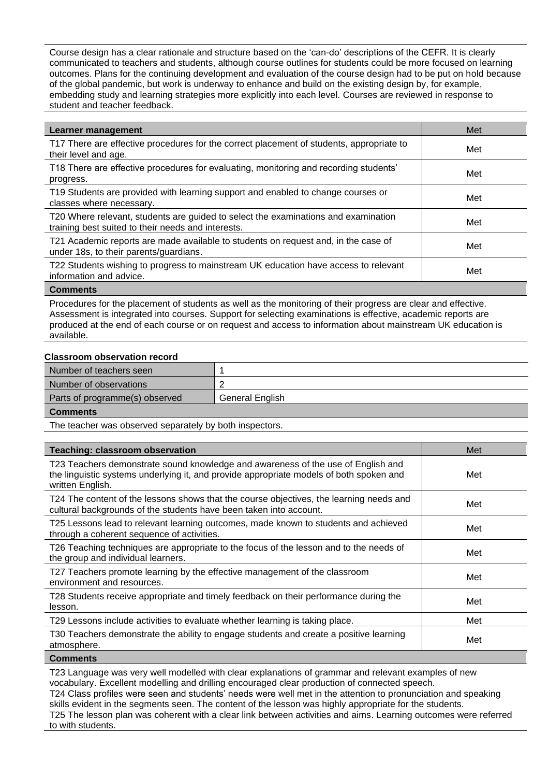Course design has a clear rationale and structure based on the 'can-do' descriptions of the CEFR. It is clearly communicated to teachers and students, although course outlines for students could be more focused on learning outcomes. Plans for the continuing development and evaluation of the course design had to be put on hold because of the global pandemic, but work is underway to enhance and build on the existing design by, for example, embedding study and learning strategies more explicitly into each level. Courses are reviewed in response to student and teacher feedback.

| Learner management                                                                                                                       | Met |
|------------------------------------------------------------------------------------------------------------------------------------------|-----|
| T17 There are effective procedures for the correct placement of students, appropriate to<br>their level and age.                         | Met |
| T18 There are effective procedures for evaluating, monitoring and recording students'<br>progress.                                       | Met |
| T19 Students are provided with learning support and enabled to change courses or<br>classes where necessary.                             | Met |
| T20 Where relevant, students are guided to select the examinations and examination<br>training best suited to their needs and interests. | Met |
| T21 Academic reports are made available to students on request and, in the case of<br>under 18s, to their parents/guardians.             | Met |
| T22 Students wishing to progress to mainstream UK education have access to relevant<br>information and advice.                           | Met |

#### **Comments**

Procedures for the placement of students as well as the monitoring of their progress are clear and effective. Assessment is integrated into courses. Support for selecting examinations is effective, academic reports are produced at the end of each course or on request and access to information about mainstream UK education is available.

### **Classroom observation record**

| Number of teachers seen        |                        |
|--------------------------------|------------------------|
| Number of observations         |                        |
| Parts of programme(s) observed | <b>General English</b> |
| <b>Comments</b>                |                        |

The teacher was observed separately by both inspectors.

| <b>Teaching: classroom observation</b>                                                                                                                                                          | Met |
|-------------------------------------------------------------------------------------------------------------------------------------------------------------------------------------------------|-----|
| T23 Teachers demonstrate sound knowledge and awareness of the use of English and<br>the linguistic systems underlying it, and provide appropriate models of both spoken and<br>written English. | Met |
| T24 The content of the lessons shows that the course objectives, the learning needs and<br>cultural backgrounds of the students have been taken into account.                                   | Met |
| T25 Lessons lead to relevant learning outcomes, made known to students and achieved<br>through a coherent sequence of activities.                                                               | Met |
| T26 Teaching techniques are appropriate to the focus of the lesson and to the needs of<br>the group and individual learners.                                                                    | Met |
| T27 Teachers promote learning by the effective management of the classroom<br>environment and resources.                                                                                        | Met |
| T28 Students receive appropriate and timely feedback on their performance during the<br>lesson.                                                                                                 | Met |
| T29 Lessons include activities to evaluate whether learning is taking place.                                                                                                                    | Met |
| T30 Teachers demonstrate the ability to engage students and create a positive learning<br>atmosphere.                                                                                           | Met |

#### **Comments**

T23 Language was very well modelled with clear explanations of grammar and relevant examples of new vocabulary. Excellent modelling and drilling encouraged clear production of connected speech.

T24 Class profiles were seen and students' needs were well met in the attention to pronunciation and speaking skills evident in the segments seen. The content of the lesson was highly appropriate for the students. T25 The lesson plan was coherent with a clear link between activities and aims. Learning outcomes were referred to with students.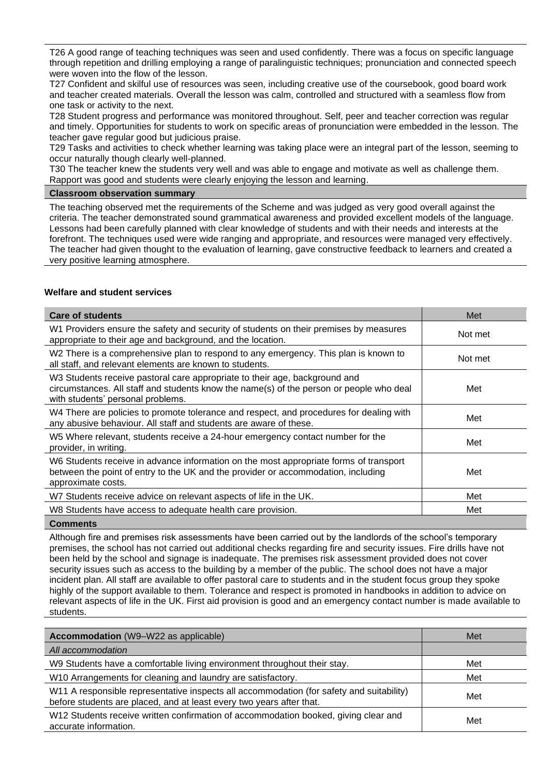T26 A good range of teaching techniques was seen and used confidently. There was a focus on specific language through repetition and drilling employing a range of paralinguistic techniques; pronunciation and connected speech were woven into the flow of the lesson.

T27 Confident and skilful use of resources was seen, including creative use of the coursebook, good board work and teacher created materials. Overall the lesson was calm, controlled and structured with a seamless flow from one task or activity to the next.

T28 Student progress and performance was monitored throughout. Self, peer and teacher correction was regular and timely. Opportunities for students to work on specific areas of pronunciation were embedded in the lesson. The teacher gave regular good but judicious praise.

T29 Tasks and activities to check whether learning was taking place were an integral part of the lesson, seeming to occur naturally though clearly well-planned.

T30 The teacher knew the students very well and was able to engage and motivate as well as challenge them. Rapport was good and students were clearly enjoying the lesson and learning.

## **Classroom observation summary**

The teaching observed met the requirements of the Scheme and was judged as very good overall against the criteria. The teacher demonstrated sound grammatical awareness and provided excellent models of the language. Lessons had been carefully planned with clear knowledge of students and with their needs and interests at the forefront. The techniques used were wide ranging and appropriate, and resources were managed very effectively. The teacher had given thought to the evaluation of learning, gave constructive feedback to learners and created a very positive learning atmosphere.

# **Welfare and student services**

| <b>Care of students</b>                                                                                                                                                                                    | Met     |
|------------------------------------------------------------------------------------------------------------------------------------------------------------------------------------------------------------|---------|
| W1 Providers ensure the safety and security of students on their premises by measures<br>appropriate to their age and background, and the location.                                                        | Not met |
| W2 There is a comprehensive plan to respond to any emergency. This plan is known to<br>all staff, and relevant elements are known to students.                                                             | Not met |
| W3 Students receive pastoral care appropriate to their age, background and<br>circumstances. All staff and students know the name(s) of the person or people who deal<br>with students' personal problems. | Met     |
| W4 There are policies to promote tolerance and respect, and procedures for dealing with<br>any abusive behaviour. All staff and students are aware of these.                                               | Met     |
| W5 Where relevant, students receive a 24-hour emergency contact number for the<br>provider, in writing.                                                                                                    | Met     |
| W6 Students receive in advance information on the most appropriate forms of transport<br>between the point of entry to the UK and the provider or accommodation, including<br>approximate costs.           | Met     |
| W7 Students receive advice on relevant aspects of life in the UK.                                                                                                                                          | Met     |
| W8 Students have access to adequate health care provision.                                                                                                                                                 | Met     |
|                                                                                                                                                                                                            |         |

**Comments**

Although fire and premises risk assessments have been carried out by the landlords of the school's temporary premises, the school has not carried out additional checks regarding fire and security issues. Fire drills have not been held by the school and signage is inadequate. The premises risk assessment provided does not cover security issues such as access to the building by a member of the public. The school does not have a major incident plan. All staff are available to offer pastoral care to students and in the student focus group they spoke highly of the support available to them. Tolerance and respect is promoted in handbooks in addition to advice on relevant aspects of life in the UK. First aid provision is good and an emergency contact number is made available to students.

| <b>Accommodation</b> (W9-W22 as applicable)                                                                                                                      | Met |
|------------------------------------------------------------------------------------------------------------------------------------------------------------------|-----|
| All accommodation                                                                                                                                                |     |
| W9 Students have a comfortable living environment throughout their stay.                                                                                         | Met |
| W10 Arrangements for cleaning and laundry are satisfactory.                                                                                                      | Met |
| W11 A responsible representative inspects all accommodation (for safety and suitability)<br>before students are placed, and at least every two years after that. | Met |
| W12 Students receive written confirmation of accommodation booked, giving clear and<br>accurate information.                                                     | Met |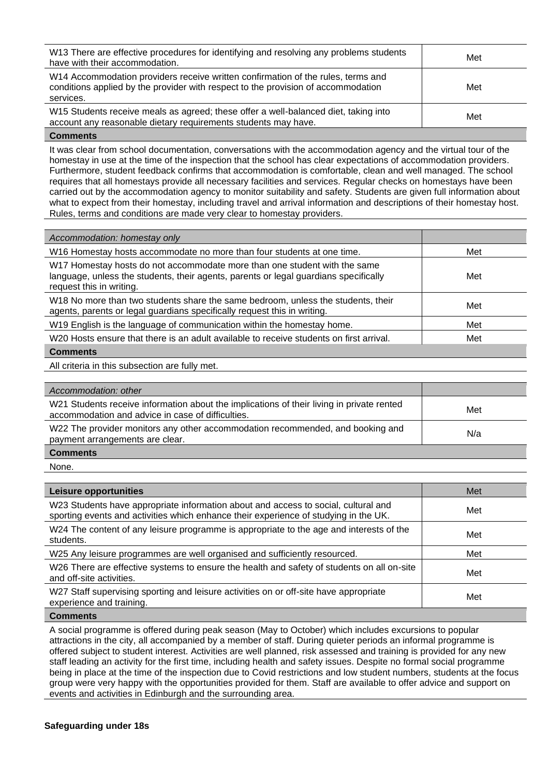| W13 There are effective procedures for identifying and resolving any problems students<br>have with their accommodation.                                                           | Met |
|------------------------------------------------------------------------------------------------------------------------------------------------------------------------------------|-----|
| W14 Accommodation providers receive written confirmation of the rules, terms and<br>conditions applied by the provider with respect to the provision of accommodation<br>services. | Met |
| W15 Students receive meals as agreed; these offer a well-balanced diet, taking into<br>account any reasonable dietary requirements students may have.                              | Met |

### **Comments**

It was clear from school documentation, conversations with the accommodation agency and the virtual tour of the homestay in use at the time of the inspection that the school has clear expectations of accommodation providers. Furthermore, student feedback confirms that accommodation is comfortable, clean and well managed. The school requires that all homestays provide all necessary facilities and services. Regular checks on homestays have been carried out by the accommodation agency to monitor suitability and safety. Students are given full information about what to expect from their homestay, including travel and arrival information and descriptions of their homestay host. Rules, terms and conditions are made very clear to homestay providers.

| Accommodation: homestay only                                                                                                                                                                  |     |
|-----------------------------------------------------------------------------------------------------------------------------------------------------------------------------------------------|-----|
| W16 Homestay hosts accommodate no more than four students at one time.                                                                                                                        | Met |
| W17 Homestay hosts do not accommodate more than one student with the same<br>language, unless the students, their agents, parents or legal guardians specifically<br>request this in writing. | Met |
| W18 No more than two students share the same bedroom, unless the students, their<br>agents, parents or legal guardians specifically request this in writing.                                  | Met |
| W19 English is the language of communication within the homestay home.                                                                                                                        | Met |
| W20 Hosts ensure that there is an adult available to receive students on first arrival.                                                                                                       | Met |
| <b>Comments</b>                                                                                                                                                                               |     |

All criteria in this subsection are fully met.

| Accommodation: other                                                                                                                           |     |
|------------------------------------------------------------------------------------------------------------------------------------------------|-----|
| W21 Students receive information about the implications of their living in private rented<br>accommodation and advice in case of difficulties. | Met |
| W22 The provider monitors any other accommodation recommended, and booking and<br>payment arrangements are clear.                              | N/a |
| <b>Comments</b>                                                                                                                                |     |

None.

| Leisure opportunities                                                                                                                                                      | Met |
|----------------------------------------------------------------------------------------------------------------------------------------------------------------------------|-----|
| W23 Students have appropriate information about and access to social, cultural and<br>sporting events and activities which enhance their experience of studying in the UK. | Met |
| W24 The content of any leisure programme is appropriate to the age and interests of the<br>students.                                                                       | Met |
| W25 Any leisure programmes are well organised and sufficiently resourced.                                                                                                  | Met |
| W26 There are effective systems to ensure the health and safety of students on all on-site<br>and off-site activities.                                                     | Met |
| W27 Staff supervising sporting and leisure activities on or off-site have appropriate<br>experience and training.                                                          | Met |

**Comments**

A social programme is offered during peak season (May to October) which includes excursions to popular attractions in the city, all accompanied by a member of staff. During quieter periods an informal programme is offered subject to student interest. Activities are well planned, risk assessed and training is provided for any new staff leading an activity for the first time, including health and safety issues. Despite no formal social programme being in place at the time of the inspection due to Covid restrictions and low student numbers, students at the focus group were very happy with the opportunities provided for them. Staff are available to offer advice and support on events and activities in Edinburgh and the surrounding area.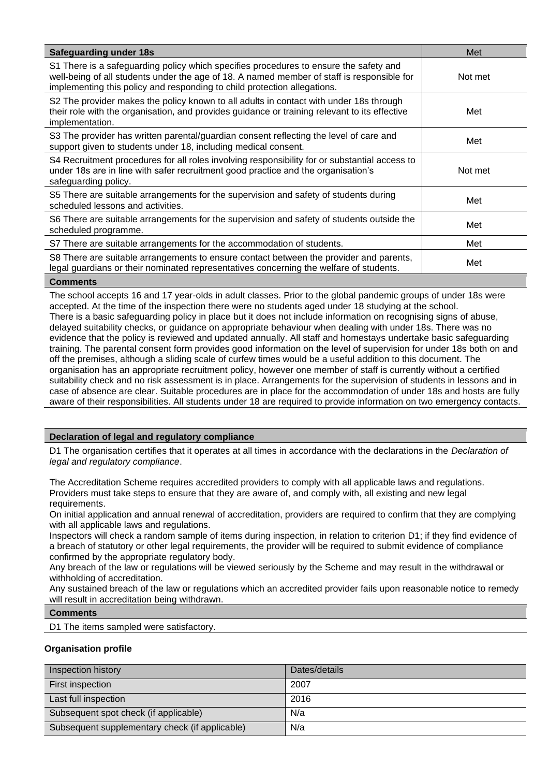| <b>Safeguarding under 18s</b>                                                                                                                                                                                                                                   | Met     |
|-----------------------------------------------------------------------------------------------------------------------------------------------------------------------------------------------------------------------------------------------------------------|---------|
| S1 There is a safeguarding policy which specifies procedures to ensure the safety and<br>well-being of all students under the age of 18. A named member of staff is responsible for<br>implementing this policy and responding to child protection allegations. | Not met |
| S2 The provider makes the policy known to all adults in contact with under 18s through<br>their role with the organisation, and provides guidance or training relevant to its effective<br>implementation.                                                      | Met     |
| S3 The provider has written parental/guardian consent reflecting the level of care and<br>support given to students under 18, including medical consent.                                                                                                        | Met     |
| S4 Recruitment procedures for all roles involving responsibility for or substantial access to<br>under 18s are in line with safer recruitment good practice and the organisation's<br>safeguarding policy.                                                      | Not met |
| S5 There are suitable arrangements for the supervision and safety of students during<br>scheduled lessons and activities.                                                                                                                                       | Met     |
| S6 There are suitable arrangements for the supervision and safety of students outside the<br>scheduled programme.                                                                                                                                               | Met     |
| S7 There are suitable arrangements for the accommodation of students.                                                                                                                                                                                           | Met     |
| S8 There are suitable arrangements to ensure contact between the provider and parents,<br>legal guardians or their nominated representatives concerning the welfare of students.                                                                                | Met     |
| <b>Comments</b>                                                                                                                                                                                                                                                 |         |

The school accepts 16 and 17 year-olds in adult classes. Prior to the global pandemic groups of under 18s were accepted. At the time of the inspection there were no students aged under 18 studying at the school. There is a basic safeguarding policy in place but it does not include information on recognising signs of abuse, delayed suitability checks, or guidance on appropriate behaviour when dealing with under 18s. There was no evidence that the policy is reviewed and updated annually. All staff and homestays undertake basic safeguarding training. The parental consent form provides good information on the level of supervision for under 18s both on and off the premises, although a sliding scale of curfew times would be a useful addition to this document. The organisation has an appropriate recruitment policy, however one member of staff is currently without a certified suitability check and no risk assessment is in place. Arrangements for the supervision of students in lessons and in case of absence are clear. Suitable procedures are in place for the accommodation of under 18s and hosts are fully aware of their responsibilities. All students under 18 are required to provide information on two emergency contacts.

# **Declaration of legal and regulatory compliance**

D1 The organisation certifies that it operates at all times in accordance with the declarations in the *Declaration of legal and regulatory compliance*.

The Accreditation Scheme requires accredited providers to comply with all applicable laws and regulations. Providers must take steps to ensure that they are aware of, and comply with, all existing and new legal requirements.

On initial application and annual renewal of accreditation, providers are required to confirm that they are complying with all applicable laws and regulations.

Inspectors will check a random sample of items during inspection, in relation to criterion D1; if they find evidence of a breach of statutory or other legal requirements, the provider will be required to submit evidence of compliance confirmed by the appropriate regulatory body.

Any breach of the law or regulations will be viewed seriously by the Scheme and may result in the withdrawal or withholding of accreditation.

Any sustained breach of the law or regulations which an accredited provider fails upon reasonable notice to remedy will result in accreditation being withdrawn.

## **Comments**

D1 The items sampled were satisfactory.

## **Organisation profile**

| Inspection history                             | Dates/details |
|------------------------------------------------|---------------|
| First inspection                               | 2007          |
| Last full inspection                           | 2016          |
| Subsequent spot check (if applicable)          | N/a           |
| Subsequent supplementary check (if applicable) | N/a           |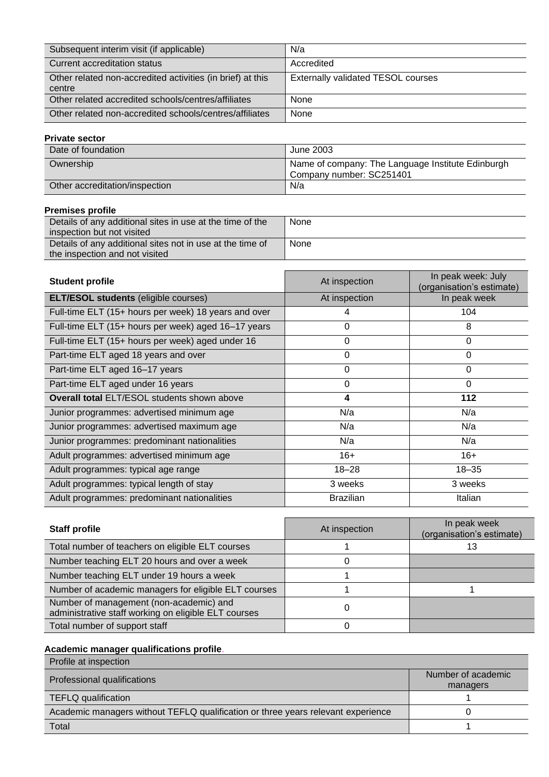| Subsequent interim visit (if applicable)                             | N/a                                       |
|----------------------------------------------------------------------|-------------------------------------------|
| Current accreditation status                                         | Accredited                                |
| Other related non-accredited activities (in brief) at this<br>centre | <b>Externally validated TESOL courses</b> |
| Other related accredited schools/centres/affiliates                  | None                                      |
| Other related non-accredited schools/centres/affiliates              | None                                      |

# **Private sector**

| Date of foundation             | June 2003                                                                     |
|--------------------------------|-------------------------------------------------------------------------------|
| Ownership                      | Name of company: The Language Institute Edinburgh<br>Company number: SC251401 |
| Other accreditation/inspection | N/a                                                                           |

# **Premises profile**

| Details of any additional sites in use at the time of the | None |
|-----------------------------------------------------------|------|
| inspection but not visited                                |      |
| Details of any additional sites not in use at the time of | None |
| the inspection and not visited                            |      |

| <b>Student profile</b>                               | At inspection    | In peak week: July<br>(organisation's estimate) |
|------------------------------------------------------|------------------|-------------------------------------------------|
| <b>ELT/ESOL students (eligible courses)</b>          | At inspection    | In peak week                                    |
| Full-time ELT (15+ hours per week) 18 years and over | 4                | 104                                             |
| Full-time ELT (15+ hours per week) aged 16-17 years  | $\Omega$         | 8                                               |
| Full-time ELT (15+ hours per week) aged under 16     | $\Omega$         | $\mathbf{0}$                                    |
| Part-time ELT aged 18 years and over                 | $\Omega$         | 0                                               |
| Part-time ELT aged 16-17 years                       | 0                | 0                                               |
| Part-time ELT aged under 16 years                    | $\Omega$         | $\Omega$                                        |
| <b>Overall total ELT/ESOL students shown above</b>   | 4                | 112                                             |
| Junior programmes: advertised minimum age            | N/a              | N/a                                             |
| Junior programmes: advertised maximum age            | N/a              | N/a                                             |
| Junior programmes: predominant nationalities         | N/a              | N/a                                             |
| Adult programmes: advertised minimum age             | $16+$            | $16+$                                           |
| Adult programmes: typical age range                  | $18 - 28$        | $18 - 35$                                       |
| Adult programmes: typical length of stay             | 3 weeks          | 3 weeks                                         |
| Adult programmes: predominant nationalities          | <b>Brazilian</b> | Italian                                         |

| <b>Staff profile</b>                                                                            | At inspection | In peak week<br>(organisation's estimate) |
|-------------------------------------------------------------------------------------------------|---------------|-------------------------------------------|
| Total number of teachers on eligible ELT courses                                                |               | 13                                        |
| Number teaching ELT 20 hours and over a week                                                    |               |                                           |
| Number teaching ELT under 19 hours a week                                                       |               |                                           |
| Number of academic managers for eligible ELT courses                                            |               |                                           |
| Number of management (non-academic) and<br>administrative staff working on eligible ELT courses |               |                                           |
| Total number of support staff                                                                   |               |                                           |

# **Academic manager qualifications profile**.

| Profile at inspection                                                            |                    |
|----------------------------------------------------------------------------------|--------------------|
| Professional qualifications                                                      | Number of academic |
|                                                                                  | managers           |
| <b>TEFLQ</b> qualification                                                       |                    |
| Academic managers without TEFLQ qualification or three years relevant experience |                    |
| Total                                                                            |                    |